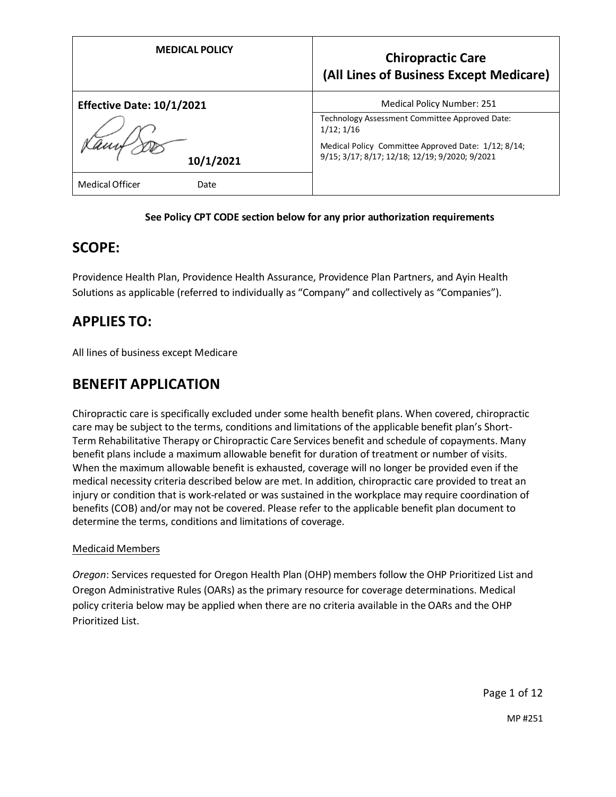| <b>MEDICAL POLICY</b>            | <b>Chiropractic Care</b><br>(All Lines of Business Except Medicare)                                   |
|----------------------------------|-------------------------------------------------------------------------------------------------------|
| <b>Effective Date: 10/1/2021</b> | <b>Medical Policy Number: 251</b>                                                                     |
|                                  | Technology Assessment Committee Approved Date:<br>$1/12$ ; $1/16$                                     |
| 10/1/2021                        | Medical Policy Committee Approved Date: 1/12; 8/14;<br>9/15; 3/17; 8/17; 12/18; 12/19; 9/2020; 9/2021 |
| <b>Medical Officer</b><br>Date   |                                                                                                       |

## **See Policy CPT CODE section below for any prior authorization requirements**

## **SCOPE:**

Providence Health Plan, Providence Health Assurance, Providence Plan Partners, and Ayin Health Solutions as applicable (referred to individually as "Company" and collectively as "Companies").

## **APPLIES TO:**

All lines of business except Medicare

## **BENEFIT APPLICATION**

Chiropractic care is specifically excluded under some health benefit plans. When covered, chiropractic care may be subject to the terms, conditions and limitations of the applicable benefit plan's Short-Term Rehabilitative Therapy or Chiropractic Care Services benefit and schedule of copayments. Many benefit plans include a maximum allowable benefit for duration of treatment or number of visits. When the maximum allowable benefit is exhausted, coverage will no longer be provided even if the medical necessity criteria described below are met. In addition, chiropractic care provided to treat an injury or condition that is work-related or was sustained in the workplace may require coordination of benefits (COB) and/or may not be covered. Please refer to the applicable benefit plan document to determine the terms, conditions and limitations of coverage.

## Medicaid Members

*Oregon*: Services requested for Oregon Health Plan (OHP) members follow the OHP Prioritized List and Oregon Administrative Rules (OARs) as the primary resource for coverage determinations. Medical policy criteria below may be applied when there are no criteria available in the OARs and the OHP Prioritized List.

Page 1 of 12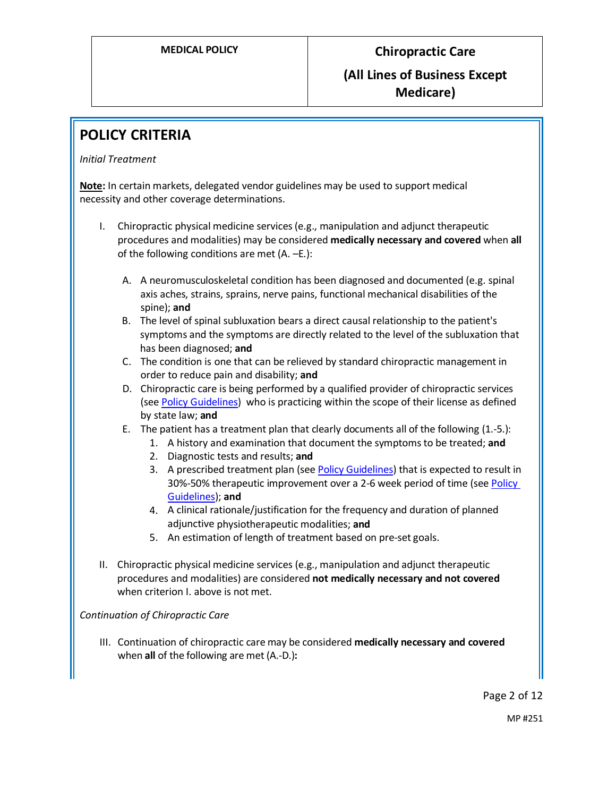# **POLICY CRITERIA**

## *Initial Treatment*

**Note:** In certain markets, delegated vendor guidelines may be used to support medical necessity and other coverage determinations.

- I. Chiropractic physical medicine services(e.g., manipulation and adjunct therapeutic procedures and modalities) may be considered **medically necessary and covered** when **all** of the following conditions are met (A. –E.):
	- A. A neuromusculoskeletal condition has been diagnosed and documented (e.g. spinal axis aches, strains, sprains, nerve pains, functional mechanical disabilities of the spine); **and**
	- B. The level of spinal subluxation bears a direct causal relationship to the patient's symptoms and the symptoms are directly related to the level of the subluxation that has been diagnosed; **and**
	- C. The condition is one that can be relieved by standard chiropractic management in order to reduce pain and disability; **and**
	- D. Chiropractic care is being performed by a qualified provider of chiropractic services (se[e Policy Guidelines\)](#page-3-0) who is practicing within the scope of their license as defined by state law; **and**
	- E. The patient has a treatment plan that clearly documents all of the following (1.-5.):
		- 1. A history and examination that document the symptoms to be treated; **and**
			- 2. Diagnostic tests and results; **and**
			- 3. A prescribed treatment plan (se[e Policy Guidelines\)](#page-4-0) that is expected to result in 30%-50% therapeutic improvement over a 2-6 week period of time (se[e Policy](#page-4-1)  [Guidelines\)](#page-4-1); **and**
			- 4. A clinical rationale/justification for the frequency and duration of planned adjunctive physiotherapeutic modalities; **and**
			- 5. An estimation of length of treatment based on pre-set goals.
- II. Chiropractic physical medicine services (e.g., manipulation and adjunct therapeutic procedures and modalities) are considered **not medically necessary and not covered**  when criterion I. above is not met.

## *Continuation of Chiropractic Care*

III. Continuation of chiropractic care may be considered **medically necessary and covered** when **all** of the following are met (A.-D.)**:**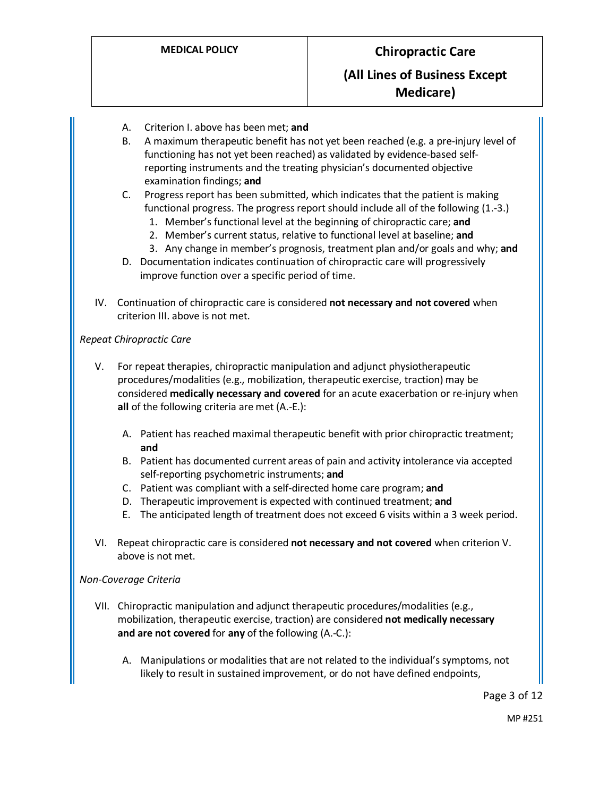- A. Criterion I. above has been met; **and**
- B. A maximum therapeutic benefit has not yet been reached (e.g. a pre-injury level of functioning has not yet been reached) as validated by evidence-based selfreporting instruments and the treating physician's documented objective examination findings; **and**
- C. Progress report has been submitted, which indicates that the patient is making functional progress. The progress report should include all of the following (1.-3.)
	- 1. Member's functional level at the beginning of chiropractic care; **and**
	- 2. Member's current status, relative to functional level at baseline; **and**
	- 3. Any change in member's prognosis, treatment plan and/or goals and why; **and**
- D. Documentation indicates continuation of chiropractic care will progressively improve function over a specific period of time.
- IV. Continuation of chiropractic care is considered **not necessary and not covered** when criterion III. above is not met.

## *Repeat Chiropractic Care*

- V. For repeat therapies, chiropractic manipulation and adjunct physiotherapeutic procedures/modalities (e.g., mobilization, therapeutic exercise, traction) may be considered **medically necessary and covered** for an acute exacerbation or re-injury when **all** of the following criteria are met (A.-E.):
	- A. Patient has reached maximal therapeutic benefit with prior chiropractic treatment; **and**
	- B. Patient has documented current areas of pain and activity intolerance via accepted self-reporting psychometric instruments; **and**
	- C. Patient was compliant with a self-directed home care program; **and**
	- D. Therapeutic improvement is expected with continued treatment; **and**
	- E. The anticipated length of treatment does not exceed 6 visits within a 3 week period.
- VI. Repeat chiropractic care is considered **not necessary and not covered** when criterion V. above is not met.

## *Non-Coverage Criteria*

- VII. Chiropractic manipulation and adjunct therapeutic procedures/modalities (e.g., mobilization, therapeutic exercise, traction) are considered **not medically necessary and are not covered** for **any** of the following (A.-C.):
	- A. Manipulations or modalities that are not related to the individual's symptoms, not likely to result in sustained improvement, or do not have defined endpoints,

Page 3 of 12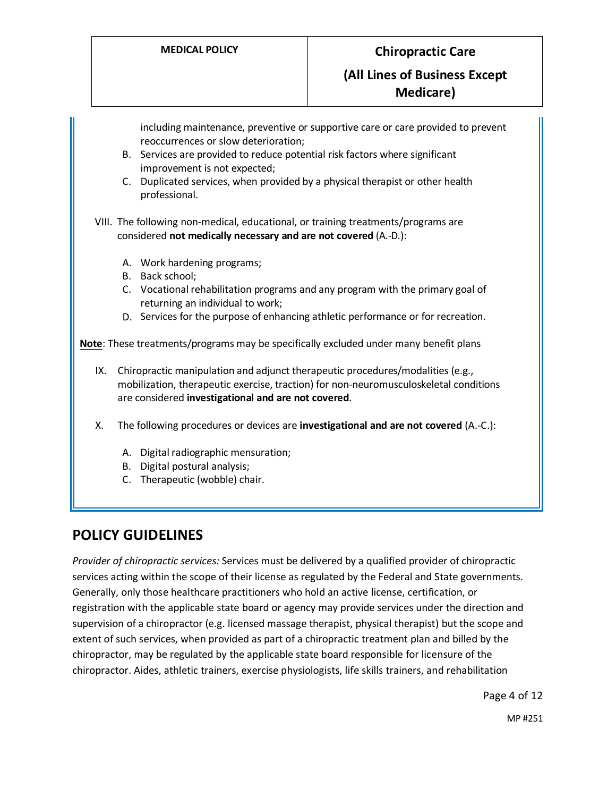**Medicare)**

including maintenance, preventive or supportive care or care provided to prevent reoccurrences or slow deterioration;

- B. Services are provided to reduce potential risk factors where significant improvement is not expected;
- C. Duplicated services, when provided by a physical therapist or other health professional.

VIII. The following non-medical, educational, or training treatments/programs are considered **not medically necessary and are not covered** (A.-D.):

- A. Work hardening programs;
- B. Back school;
- C. Vocational rehabilitation programs and any program with the primary goal of returning an individual to work;
- D. Services for the purpose of enhancing athletic performance or for recreation.

**Note**: These treatments/programs may be specifically excluded under many benefit plans

IX. Chiropractic manipulation and adjunct therapeutic procedures/modalities (e.g., mobilization, therapeutic exercise, traction) for non-neuromusculoskeletal conditions are considered **investigational and are not covered**.

X. The following procedures or devices are **investigational and are not covered** (A.-C.):

- A. Digital radiographic mensuration;
- B. Digital postural analysis;
- C. Therapeutic (wobble) chair.

# **POLICY GUIDELINES**

<span id="page-3-0"></span>*Provider of chiropractic services:* Services must be delivered by a qualified provider of chiropractic services acting within the scope of their license as regulated by the Federal and State governments. Generally, only those healthcare practitioners who hold an active license, certification, or registration with the applicable state board or agency may provide services under the direction and supervision of a chiropractor (e.g. licensed massage therapist, physical therapist) but the scope and extent of such services, when provided as part of a chiropractic treatment plan and billed by the chiropractor, may be regulated by the applicable state board responsible for licensure of the chiropractor. Aides, athletic trainers, exercise physiologists, life skills trainers, and rehabilitation

Page 4 of 12

MP #251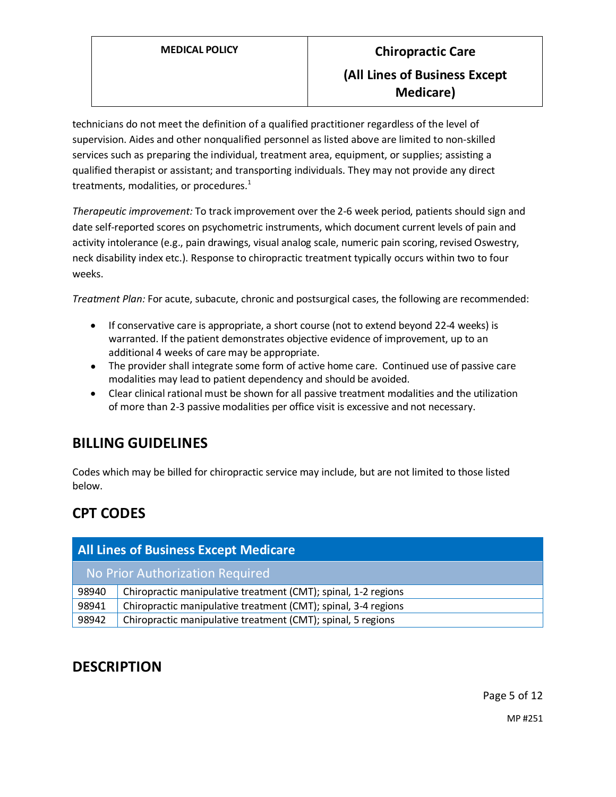technicians do not meet the definition of a qualified practitioner regardless of the level of supervision. Aides and other nonqualified personnel as listed above are limited to non-skilled services such as preparing the individual, treatment area, equipment, or supplies; assisting a qualified therapist or assistant; and transporting individuals. They may not provide any direct treatments, modalities, or procedures.<sup>1</sup>

<span id="page-4-1"></span>*Therapeutic improvement:* To track improvement over the 2-6 week period, patients should sign and date self-reported scores on psychometric instruments, which document current levels of pain and activity intolerance (e.g., pain drawings, visual analog scale, numeric pain scoring, revised Oswestry, neck disability index etc.). Response to chiropractic treatment typically occurs within two to four weeks.

<span id="page-4-0"></span>*Treatment Plan:* For acute, subacute, chronic and postsurgical cases, the following are recommended:

- If conservative care is appropriate, a short course (not to extend beyond 22-4 weeks) is warranted. If the patient demonstrates objective evidence of improvement, up to an additional 4 weeks of care may be appropriate.
- The provider shall integrate some form of active home care. Continued use of passive care modalities may lead to patient dependency and should be avoided.
- Clear clinical rational must be shown for all passive treatment modalities and the utilization of more than 2-3 passive modalities per office visit is excessive and not necessary.

# **BILLING GUIDELINES**

Codes which may be billed for chiropractic service may include, but are not limited to those listed below.

# **CPT CODES**

| <b>All Lines of Business Except Medicare</b> |                                                                |
|----------------------------------------------|----------------------------------------------------------------|
| No Prior Authorization Required              |                                                                |
| 98940                                        | Chiropractic manipulative treatment (CMT); spinal, 1-2 regions |
| 98941                                        | Chiropractic manipulative treatment (CMT); spinal, 3-4 regions |
| 98942                                        | Chiropractic manipulative treatment (CMT); spinal, 5 regions   |

## **DESCRIPTION**

Page 5 of 12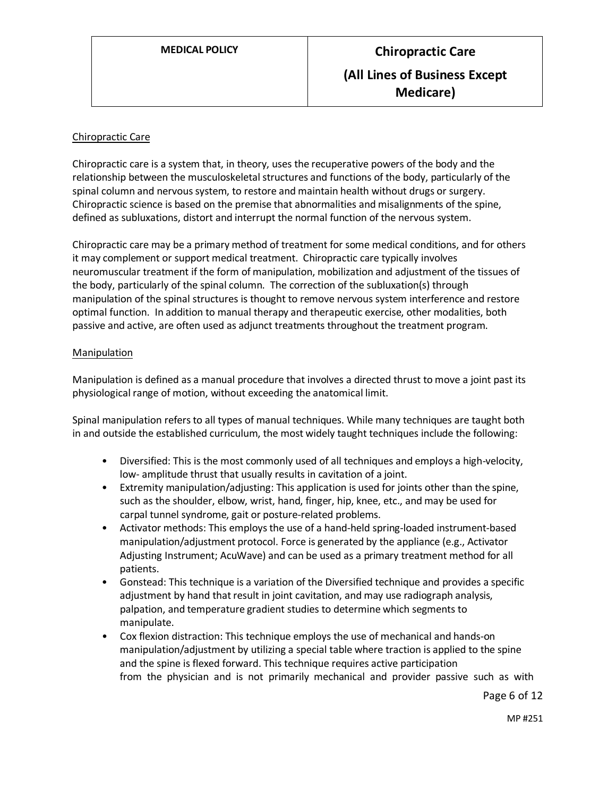## Chiropractic Care

Chiropractic care is a system that, in theory, uses the recuperative powers of the body and the relationship between the musculoskeletal structures and functions of the body, particularly of the spinal column and nervous system, to restore and maintain health without drugs or surgery. Chiropractic science is based on the premise that abnormalities and misalignments of the spine, defined as subluxations, distort and interrupt the normal function of the nervous system.

Chiropractic care may be a primary method of treatment for some medical conditions, and for others it may complement or support medical treatment. Chiropractic care typically involves neuromuscular treatment if the form of manipulation, mobilization and adjustment of the tissues of the body, particularly of the spinal column. The correction of the subluxation(s) through manipulation of the spinal structures is thought to remove nervous system interference and restore optimal function. In addition to manual therapy and therapeutic exercise, other modalities, both passive and active, are often used as adjunct treatments throughout the treatment program.

## Manipulation

Manipulation is defined as a manual procedure that involves a directed thrust to move a joint past its physiological range of motion, without exceeding the anatomical limit.

Spinal manipulation refers to all types of manual techniques. While many techniques are taught both in and outside the established curriculum, the most widely taught techniques include the following:

- Diversified: This is the most commonly used of all techniques and employs a high-velocity, low- amplitude thrust that usually results in cavitation of a joint.
- Extremity manipulation/adjusting: This application is used for joints other than the spine, such as the shoulder, elbow, wrist, hand, finger, hip, knee, etc., and may be used for carpal tunnel syndrome, gait or posture-related problems.
- Activator methods: This employs the use of a hand-held spring-loaded instrument-based manipulation/adjustment protocol. Force is generated by the appliance (e.g., Activator Adjusting Instrument; AcuWave) and can be used as a primary treatment method for all patients.
- Gonstead: This technique is a variation of the Diversified technique and provides a specific adjustment by hand that result in joint cavitation, and may use radiograph analysis, palpation, and temperature gradient studies to determine which segments to manipulate.
- Cox flexion distraction: This technique employs the use of mechanical and hands-on manipulation/adjustment by utilizing a special table where traction is applied to the spine and the spine is flexed forward. This technique requires active participation from the physician and is not primarily mechanical and provider passive such as with

Page 6 of 12

MP #251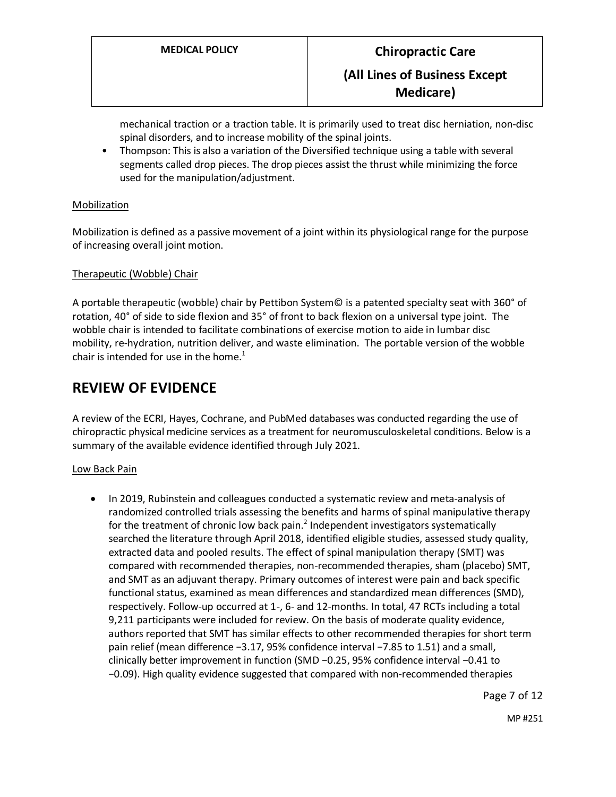mechanical traction or a traction table. It is primarily used to treat disc herniation, non-disc spinal disorders, and to increase mobility of the spinal joints.

• Thompson: This is also a variation of the Diversified technique using a table with several segments called drop pieces. The drop pieces assist the thrust while minimizing the force used for the manipulation/adjustment.

## Mobilization

Mobilization is defined as a passive movement of a joint within its physiological range for the purpose of increasing overall joint motion.

## Therapeutic (Wobble) Chair

A portable therapeutic (wobble) chair by Pettibon System© is a patented specialty seat with 360° of rotation, 40° of side to side flexion and 35° of front to back flexion on a universal type joint. The wobble chair is intended to facilitate combinations of exercise motion to aide in lumbar disc mobility, re-hydration, nutrition deliver, and waste elimination. The portable version of the wobble chair is intended for use in the home. $1$ 

## **REVIEW OF EVIDENCE**

A review of the ECRI, Hayes, Cochrane, and PubMed databases was conducted regarding the use of chiropractic physical medicine services as a treatment for neuromusculoskeletal conditions. Below is a summary of the available evidence identified through July 2021.

## Low Back Pain

• In 2019, Rubinstein and colleagues conducted a systematic review and meta-analysis of randomized controlled trials assessing the benefits and harms of spinal manipulative therapy for the treatment of chronic low back pain. $<sup>2</sup>$  Independent investigators systematically</sup> searched the literature through April 2018, identified eligible studies, assessed study quality, extracted data and pooled results. The effect of spinal manipulation therapy (SMT) was compared with recommended therapies, non-recommended therapies, sham (placebo) SMT, and SMT as an adjuvant therapy. Primary outcomes of interest were pain and back specific functional status, examined as mean differences and standardized mean differences (SMD), respectively. Follow-up occurred at 1-, 6- and 12-months. In total, 47 RCTs including a total 9,211 participants were included for review. On the basis of moderate quality evidence, authors reported that SMT has similar effects to other recommended therapies for short term pain relief (mean difference −3.17, 95% confidence interval −7.85 to 1.51) and a small, clinically better improvement in function (SMD −0.25, 95% confidence interval −0.41 to −0.09). High quality evidence suggested that compared with non-recommended therapies

Page 7 of 12

MP #251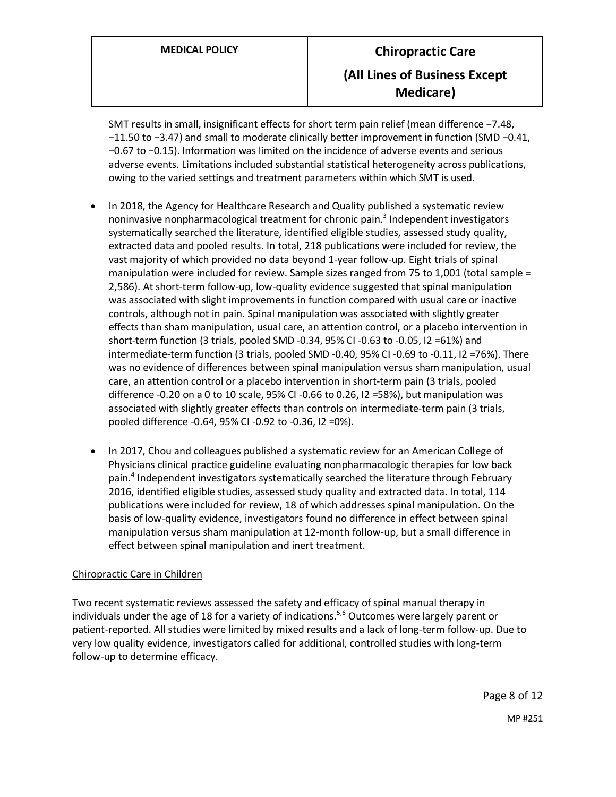SMT results in small, insignificant effects for short term pain relief (mean difference −7.48, −11.50 to −3.47) and small to moderate clinically better improvement in function (SMD −0.41, −0.67 to −0.15). Information was limited on the incidence of adverse events and serious adverse events. Limitations included substantial statistical heterogeneity across publications, owing to the varied settings and treatment parameters within which SMT is used.

- In 2018, the Agency for Healthcare Research and Quality published a systematic review noninvasive nonpharmacological treatment for chronic pain.<sup>3</sup> Independent investigators systematically searched the literature, identified eligible studies, assessed study quality, extracted data and pooled results. In total, 218 publications were included for review, the vast majority of which provided no data beyond 1-year follow-up. Eight trials of spinal manipulation were included for review. Sample sizes ranged from 75 to 1,001 (total sample = 2,586). At short-term follow-up, low-quality evidence suggested that spinal manipulation was associated with slight improvements in function compared with usual care or inactive controls, although not in pain. Spinal manipulation was associated with slightly greater effects than sham manipulation, usual care, an attention control, or a placebo intervention in short-term function (3 trials, pooled SMD -0.34, 95% CI -0.63 to -0.05, I2 =61%) and intermediate-term function (3 trials, pooled SMD -0.40, 95% CI -0.69 to -0.11, I2 =76%). There was no evidence of differences between spinal manipulation versus sham manipulation, usual care, an attention control or a placebo intervention in short-term pain (3 trials, pooled difference -0.20 on a 0 to 10 scale, 95% CI -0.66 to 0.26, I2 =58%), but manipulation was associated with slightly greater effects than controls on intermediate-term pain (3 trials, pooled difference -0.64, 95% CI -0.92 to -0.36, I2 =0%).
- In 2017, Chou and colleagues published a systematic review for an American College of Physicians clinical practice guideline evaluating nonpharmacologic therapies for low back pain.<sup>4</sup> Independent investigators systematically searched the literature through February 2016, identified eligible studies, assessed study quality and extracted data. In total, 114 publications were included for review, 18 of which addresses spinal manipulation. On the basis of low-quality evidence, investigators found no difference in effect between spinal manipulation versus sham manipulation at 12-month follow-up, but a small difference in effect between spinal manipulation and inert treatment.

## Chiropractic Care in Children

Two recent systematic reviews assessed the safety and efficacy of spinal manual therapy in individuals under the age of 18 for a variety of indications.<sup>5,6</sup> Outcomes were largely parent or patient-reported. All studies were limited by mixed results and a lack of long-term follow-up. Due to very low quality evidence, investigators called for additional, controlled studies with long-term follow-up to determine efficacy.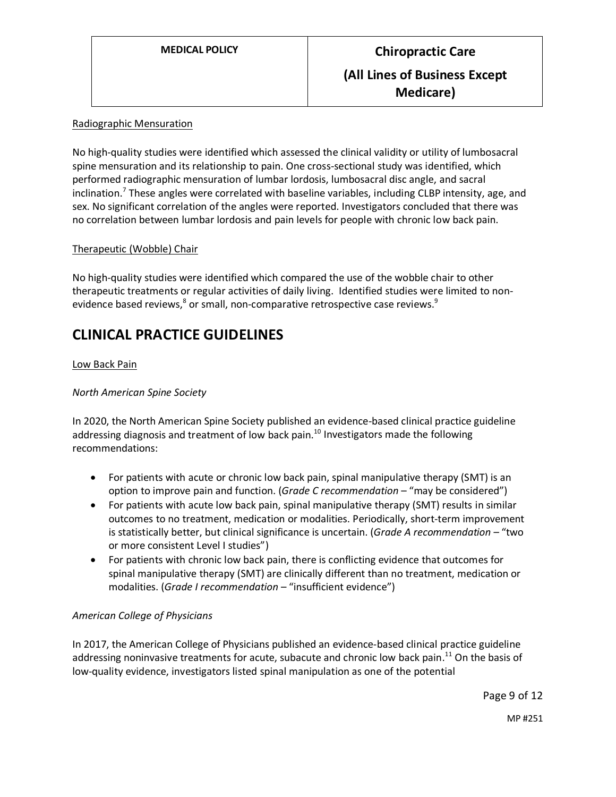## Radiographic Mensuration

No high-quality studies were identified which assessed the clinical validity or utility of lumbosacral spine mensuration and its relationship to pain. One cross-sectional study was identified, which performed radiographic mensuration of lumbar lordosis, lumbosacral disc angle, and sacral inclination.<sup>7</sup> These angles were correlated with baseline variables, including CLBP intensity, age, and sex. No significant correlation of the angles were reported. Investigators concluded that there was no correlation between lumbar lordosis and pain levels for people with chronic low back pain.

## Therapeutic (Wobble) Chair

No high-quality studies were identified which compared the use of the wobble chair to other therapeutic treatments or regular activities of daily living. Identified studies were limited to nonevidence based reviews, $^8$  or small, non-comparative retrospective case reviews. $^9$ 

## **CLINICAL PRACTICE GUIDELINES**

## Low Back Pain

## *North American Spine Society*

In 2020, the North American Spine Society published an evidence-based clinical practice guideline addressing diagnosis and treatment of low back pain.<sup>10</sup> Investigators made the following recommendations:

- For patients with acute or chronic low back pain, spinal manipulative therapy (SMT) is an option to improve pain and function. (*Grade C recommendation* – "may be considered")
- For patients with acute low back pain, spinal manipulative therapy (SMT) results in similar outcomes to no treatment, medication or modalities. Periodically, short-term improvement is statistically better, but clinical significance is uncertain. (*Grade A recommendation –* "two or more consistent Level I studies")
- For patients with chronic low back pain, there is conflicting evidence that outcomes for spinal manipulative therapy (SMT) are clinically different than no treatment, medication or modalities. (*Grade I recommendation* – "insufficient evidence")

## *American College of Physicians*

In 2017, the American College of Physicians published an evidence-based clinical practice guideline addressing noninvasive treatments for acute, subacute and chronic low back pain.<sup>11</sup> On the basis of low-quality evidence, investigators listed spinal manipulation as one of the potential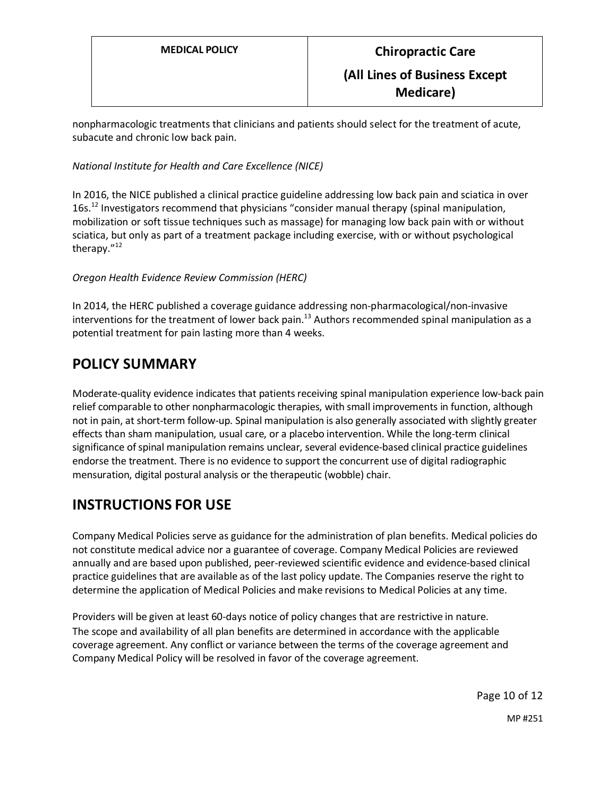nonpharmacologic treatments that clinicians and patients should select for the treatment of acute, subacute and chronic low back pain.

## *National Institute for Health and Care Excellence (NICE)*

In 2016, the NICE published a clinical practice guideline addressing low back pain and sciatica in over 16s.<sup>12</sup> Investigators recommend that physicians "consider manual therapy (spinal manipulation, mobilization or soft tissue techniques such as massage) for managing low back pain with or without sciatica, but only as part of a treatment package including exercise, with or without psychological therapy."<sup>12</sup>

## *Oregon Health Evidence Review Commission (HERC)*

In 2014, the HERC published a coverage guidance addressing non-pharmacological/non-invasive interventions for the treatment of lower back pain.<sup>13</sup> Authors recommended spinal manipulation as a potential treatment for pain lasting more than 4 weeks.

# **POLICY SUMMARY**

Moderate-quality evidence indicates that patients receiving spinal manipulation experience low-back pain relief comparable to other nonpharmacologic therapies, with small improvements in function, although not in pain, at short-term follow-up. Spinal manipulation is also generally associated with slightly greater effects than sham manipulation, usual care, or a placebo intervention. While the long-term clinical significance of spinal manipulation remains unclear, several evidence-based clinical practice guidelines endorse the treatment. There is no evidence to support the concurrent use of digital radiographic mensuration, digital postural analysis or the therapeutic (wobble) chair.

# **INSTRUCTIONS FOR USE**

Company Medical Policies serve as guidance for the administration of plan benefits. Medical policies do not constitute medical advice nor a guarantee of coverage. Company Medical Policies are reviewed annually and are based upon published, peer-reviewed scientific evidence and evidence-based clinical practice guidelines that are available as of the last policy update. The Companies reserve the right to determine the application of Medical Policies and make revisions to Medical Policies at any time.

Providers will be given at least 60-days notice of policy changes that are restrictive in nature. The scope and availability of all plan benefits are determined in accordance with the applicable coverage agreement. Any conflict or variance between the terms of the coverage agreement and Company Medical Policy will be resolved in favor of the coverage agreement.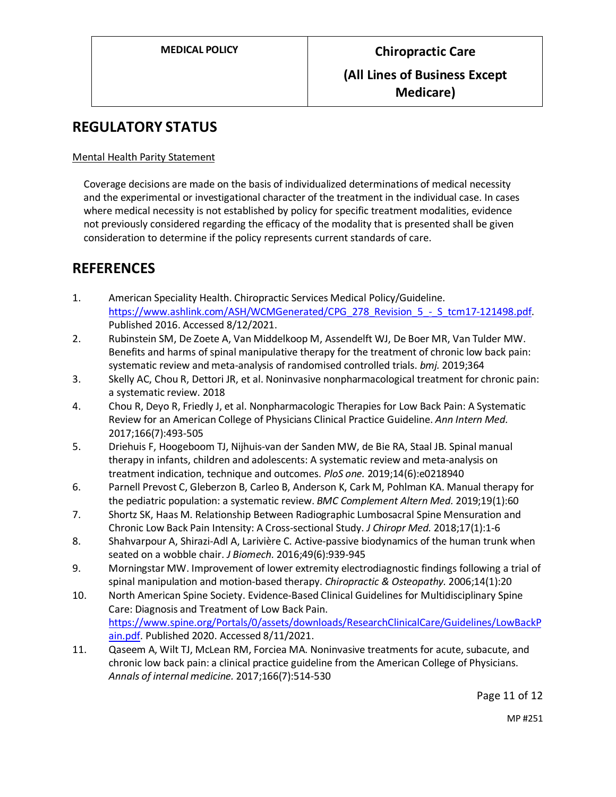# **REGULATORY STATUS**

## Mental Health Parity Statement

Coverage decisions are made on the basis of individualized determinations of medical necessity and the experimental or investigational character of the treatment in the individual case. In cases where medical necessity is not established by policy for specific treatment modalities, evidence not previously considered regarding the efficacy of the modality that is presented shall be given consideration to determine if the policy represents current standards of care.

## **REFERENCES**

- 1. American Speciality Health. Chiropractic Services Medical Policy/Guideline. [https://www.ashlink.com/ASH/WCMGenerated/CPG\\_278\\_Revision\\_5\\_-\\_S\\_tcm17-121498.pdf.](https://www.ashlink.com/ASH/WCMGenerated/CPG_278_Revision_5_-_S_tcm17-121498.pdf) Published 2016. Accessed 8/12/2021.
- 2. Rubinstein SM, De Zoete A, Van Middelkoop M, Assendelft WJ, De Boer MR, Van Tulder MW. Benefits and harms of spinal manipulative therapy for the treatment of chronic low back pain: systematic review and meta-analysis of randomised controlled trials. *bmj.* 2019;364
- 3. Skelly AC, Chou R, Dettori JR, et al. Noninvasive nonpharmacological treatment for chronic pain: a systematic review. 2018
- 4. Chou R, Deyo R, Friedly J, et al. Nonpharmacologic Therapies for Low Back Pain: A Systematic Review for an American College of Physicians Clinical Practice Guideline. *Ann Intern Med.*  2017;166(7):493-505
- 5. Driehuis F, Hoogeboom TJ, Nijhuis-van der Sanden MW, de Bie RA, Staal JB. Spinal manual therapy in infants, children and adolescents: A systematic review and meta-analysis on treatment indication, technique and outcomes. *PloS one.* 2019;14(6):e0218940
- 6. Parnell Prevost C, Gleberzon B, Carleo B, Anderson K, Cark M, Pohlman KA. Manual therapy for the pediatric population: a systematic review. *BMC Complement Altern Med.* 2019;19(1):60
- 7. Shortz SK, Haas M. Relationship Between Radiographic Lumbosacral Spine Mensuration and Chronic Low Back Pain Intensity: A Cross-sectional Study. *J Chiropr Med.* 2018;17(1):1-6
- 8. Shahvarpour A, Shirazi-Adl A, Larivière C. Active-passive biodynamics of the human trunk when seated on a wobble chair. *J Biomech.* 2016;49(6):939-945
- 9. Morningstar MW. Improvement of lower extremity electrodiagnostic findings following a trial of spinal manipulation and motion-based therapy. *Chiropractic & Osteopathy.* 2006;14(1):20
- 10. North American Spine Society. Evidence-Based Clinical Guidelines for Multidisciplinary Spine Care: Diagnosis and Treatment of Low Back Pain. [https://www.spine.org/Portals/0/assets/downloads/ResearchClinicalCare/Guidelines/LowBackP](https://www.spine.org/Portals/0/assets/downloads/ResearchClinicalCare/Guidelines/LowBackPain.pdf) [ain.pdf.](https://www.spine.org/Portals/0/assets/downloads/ResearchClinicalCare/Guidelines/LowBackPain.pdf) Published 2020. Accessed 8/11/2021.
- 11. Qaseem A, Wilt TJ, McLean RM, Forciea MA. Noninvasive treatments for acute, subacute, and chronic low back pain: a clinical practice guideline from the American College of Physicians. *Annals of internal medicine.* 2017;166(7):514-530

Page 11 of 12